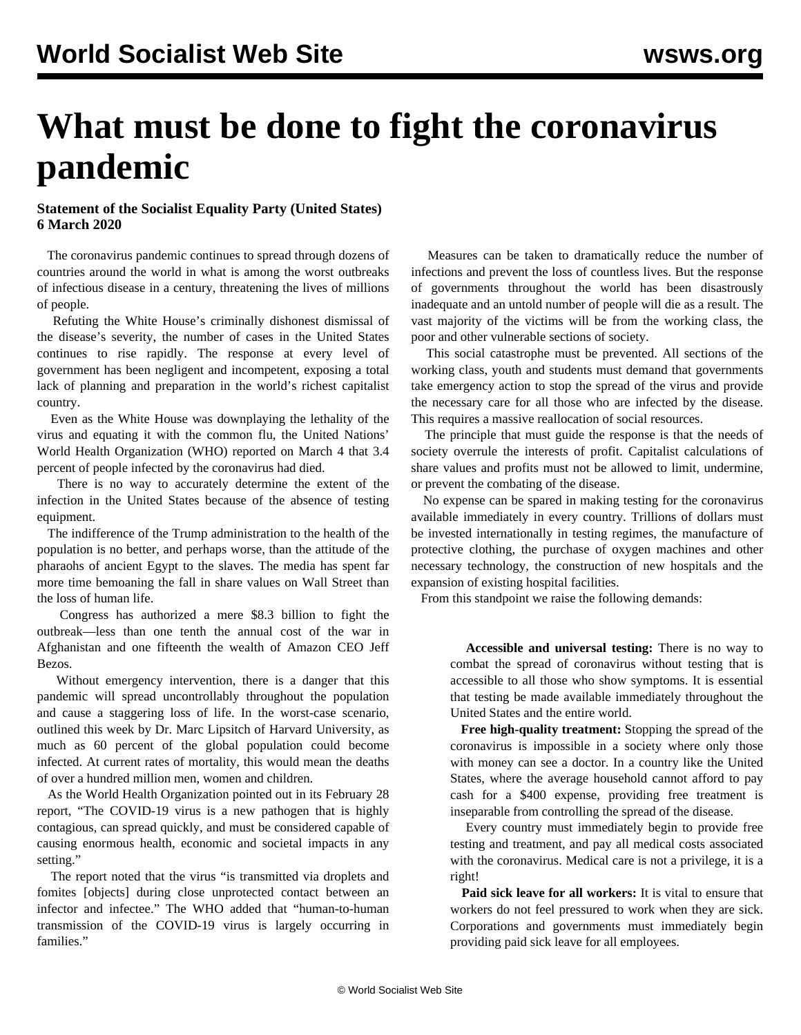## **What must be done to fight the coronavirus pandemic**

## **Statement of the Socialist Equality Party (United States) 6 March 2020**

 The coronavirus pandemic continues to spread through dozens of countries around the world in what is among the worst outbreaks of infectious disease in a century, threatening the lives of millions of people.

 Refuting the White House's criminally dishonest dismissal of the disease's severity, the number of cases in the United States continues to rise rapidly. The response at every level of government has been negligent and incompetent, exposing a total lack of planning and preparation in the world's richest capitalist country.

 Even as the White House was downplaying the lethality of the virus and equating it with the common flu, the United Nations' World Health Organization (WHO) reported on March 4 that 3.4 percent of people infected by the coronavirus had died.

 There is no way to accurately determine the extent of the infection in the United States because of the absence of testing equipment.

 The indifference of the Trump administration to the health of the population is no better, and perhaps worse, than the attitude of the pharaohs of ancient Egypt to the slaves. The media has spent far more time bemoaning the fall in share values on Wall Street than the loss of human life.

 Congress has authorized a mere \$8.3 billion to fight the outbreak—less than one tenth the annual cost of the war in Afghanistan and one fifteenth the wealth of Amazon CEO Jeff Bezos.

 Without emergency intervention, there is a danger that this pandemic will spread uncontrollably throughout the population and cause a staggering loss of life. In the worst-case scenario, outlined this week by Dr. Marc Lipsitch of Harvard University, as much as 60 percent of the global population could become infected. At current rates of mortality, this would mean the deaths of over a hundred million men, women and children.

 As the World Health Organization pointed out in its February 28 report, "The COVID-19 virus is a new pathogen that is highly contagious, can spread quickly, and must be considered capable of causing enormous health, economic and societal impacts in any setting."

 The report noted that the virus "is transmitted via droplets and fomites [objects] during close unprotected contact between an infector and infectee." The WHO added that "human-to-human transmission of the COVID-19 virus is largely occurring in families."

 Measures can be taken to dramatically reduce the number of infections and prevent the loss of countless lives. But the response of governments throughout the world has been disastrously inadequate and an untold number of people will die as a result. The vast majority of the victims will be from the working class, the poor and other vulnerable sections of society.

 This social catastrophe must be prevented. All sections of the working class, youth and students must demand that governments take emergency action to stop the spread of the virus and provide the necessary care for all those who are infected by the disease. This requires a massive reallocation of social resources.

 The principle that must guide the response is that the needs of society overrule the interests of profit. Capitalist calculations of share values and profits must not be allowed to limit, undermine, or prevent the combating of the disease.

 No expense can be spared in making testing for the coronavirus available immediately in every country. Trillions of dollars must be invested internationally in testing regimes, the manufacture of protective clothing, the purchase of oxygen machines and other necessary technology, the construction of new hospitals and the expansion of existing hospital facilities.

From this standpoint we raise the following demands:

 **Accessible and universal testing:** There is no way to combat the spread of coronavirus without testing that is accessible to all those who show symptoms. It is essential that testing be made available immediately throughout the United States and the entire world.

 **Free high-quality treatment:** Stopping the spread of the coronavirus is impossible in a society where only those with money can see a doctor. In a country like the United States, where the average household cannot afford to pay cash for a \$400 expense, providing free treatment is inseparable from controlling the spread of the disease.

 Every country must immediately begin to provide free testing and treatment, and pay all medical costs associated with the coronavirus. Medical care is not a privilege, it is a right!

 **Paid sick leave for all workers:** It is vital to ensure that workers do not feel pressured to work when they are sick. Corporations and governments must immediately begin providing paid sick leave for all employees.